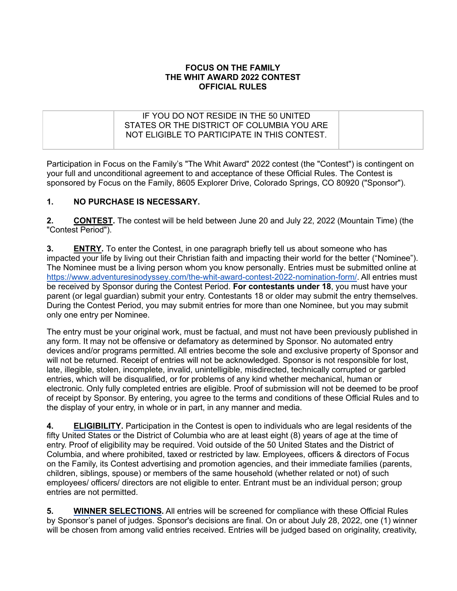## **FOCUS ON THE FAMILY THE WHIT AWARD 2022 CONTEST OFFICIAL RULES**

| IF YOU DO NOT RESIDE IN THE 50 UNITED<br>STATES OR THE DISTRICT OF COLUMBIA YOU ARE<br>NOT ELIGIBLE TO PARTICIPATE IN THIS CONTEST. |  |
|-------------------------------------------------------------------------------------------------------------------------------------|--|
|                                                                                                                                     |  |

Participation in Focus on the Family's "The Whit Award" 2022 contest (the "Contest") is contingent on your full and unconditional agreement to and acceptance of these Official Rules. The Contest is sponsored by Focus on the Family, 8605 Explorer Drive, Colorado Springs, CO 80920 ("Sponsor").

## **1. NO PURCHASE IS NECESSARY.**

**2. CONTEST.** The contest will be held between June 20 and July 22, 2022 (Mountain Time) (the "Contest Period").

**3. ENTRY.** To enter the Contest, in one paragraph briefly tell us about someone who has impacted your life by living out their Christian faith and impacting their world for the better ("Nominee"). The Nominee must be a living person whom you know personally. Entries must be submitted online at https://www.adventuresinodyssey.com/the-whit-award-contest-2022-nomination-form/. All entries must be received by Sponsor during the Contest Period. **For contestants under 18**, you must have your parent (or legal guardian) submit your entry. Contestants 18 or older may submit the entry themselves. During the Contest Period, you may submit entries for more than one Nominee, but you may submit only one entry per Nominee.

The entry must be your original work, must be factual, and must not have been previously published in any form. It may not be offensive or defamatory as determined by Sponsor. No automated entry devices and/or programs permitted. All entries become the sole and exclusive property of Sponsor and will not be returned. Receipt of entries will not be acknowledged. Sponsor is not responsible for lost, late, illegible, stolen, incomplete, invalid, unintelligible, misdirected, technically corrupted or garbled entries, which will be disqualified, or for problems of any kind whether mechanical, human or electronic. Only fully completed entries are eligible. Proof of submission will not be deemed to be proof of receipt by Sponsor. By entering, you agree to the terms and conditions of these Official Rules and to the display of your entry, in whole or in part, in any manner and media.

**4. ELIGIBILITY.** Participation in the Contest is open to individuals who are legal residents of the fifty United States or the District of Columbia who are at least eight (8) years of age at the time of entry. Proof of eligibility may be required. Void outside of the 50 United States and the District of Columbia, and where prohibited, taxed or restricted by law. Employees, officers & directors of Focus on the Family, its Contest advertising and promotion agencies, and their immediate families (parents, children, siblings, spouse) or members of the same household (whether related or not) of such employees/ officers/ directors are not eligible to enter. Entrant must be an individual person; group entries are not permitted.

**5. WINNER SELECTIONS.** All entries will be screened for compliance with these Official Rules by Sponsor's panel of judges. Sponsor's decisions are final. On or about July 28, 2022, one (1) winner will be chosen from among valid entries received. Entries will be judged based on originality, creativity,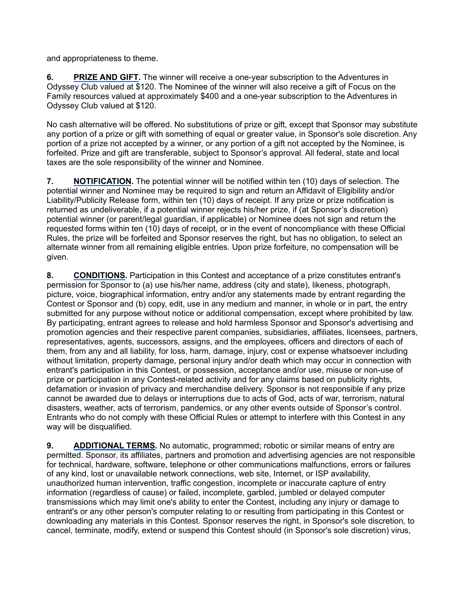and appropriateness to theme.

**6. PRIZE AND GIFT.** The winner will receive a one-year subscription to the Adventures in Odyssey Club valued at \$120. The Nominee of the winner will also receive a gift of Focus on the Family resources valued at approximately \$400 and a one-year subscription to the Adventures in Odyssey Club valued at \$120.

No cash alternative will be offered. No substitutions of prize or gift, except that Sponsor may substitute any portion of a prize or gift with something of equal or greater value, in Sponsor's sole discretion. Any portion of a prize not accepted by a winner, or any portion of a gift not accepted by the Nominee, is forfeited. Prize and gift are transferable, subject to Sponsor's approval. All federal, state and local taxes are the sole responsibility of the winner and Nominee.

**7. NOTIFICATION.** The potential winner will be notified within ten (10) days of selection. The potential winner and Nominee may be required to sign and return an Affidavit of Eligibility and/or Liability/Publicity Release form, within ten (10) days of receipt. If any prize or prize notification is returned as undeliverable, if a potential winner rejects his/her prize, if (at Sponsor's discretion) potential winner (or parent/legal guardian, if applicable) or Nominee does not sign and return the requested forms within ten (10) days of receipt, or in the event of noncompliance with these Official Rules, the prize will be forfeited and Sponsor reserves the right, but has no obligation, to select an alternate winner from all remaining eligible entries. Upon prize forfeiture, no compensation will be given.

**8. CONDITIONS.** Participation in this Contest and acceptance of a prize constitutes entrant's permission for Sponsor to (a) use his/her name, address (city and state), likeness, photograph, picture, voice, biographical information, entry and/or any statements made by entrant regarding the Contest or Sponsor and (b) copy, edit, use in any medium and manner, in whole or in part, the entry submitted for any purpose without notice or additional compensation, except where prohibited by law. By participating, entrant agrees to release and hold harmless Sponsor and Sponsor's advertising and promotion agencies and their respective parent companies, subsidiaries, affiliates, licensees, partners, representatives, agents, successors, assigns, and the employees, officers and directors of each of them, from any and all liability, for loss, harm, damage, injury, cost or expense whatsoever including without limitation, property damage, personal injury and/or death which may occur in connection with entrant's participation in this Contest, or possession, acceptance and/or use, misuse or non-use of prize or participation in any Contest-related activity and for any claims based on publicity rights, defamation or invasion of privacy and merchandise delivery. Sponsor is not responsible if any prize cannot be awarded due to delays or interruptions due to acts of God, acts of war, terrorism, natural disasters, weather, acts of terrorism, pandemics, or any other events outside of Sponsor's control. Entrants who do not comply with these Official Rules or attempt to interfere with this Contest in any way will be disqualified.

**9. ADDITIONAL TERMS.** No automatic, programmed; robotic or similar means of entry are permitted. Sponsor, its affiliates, partners and promotion and advertising agencies are not responsible for technical, hardware, software, telephone or other communications malfunctions, errors or failures of any kind, lost or unavailable network connections, web site, Internet, or ISP availability, unauthorized human intervention, traffic congestion, incomplete or inaccurate capture of entry information (regardless of cause) or failed, incomplete, garbled, jumbled or delayed computer transmissions which may limit one's ability to enter the Contest, including any injury or damage to entrant's or any other person's computer relating to or resulting from participating in this Contest or downloading any materials in this Contest. Sponsor reserves the right, in Sponsor's sole discretion, to cancel, terminate, modify, extend or suspend this Contest should (in Sponsor's sole discretion) virus,